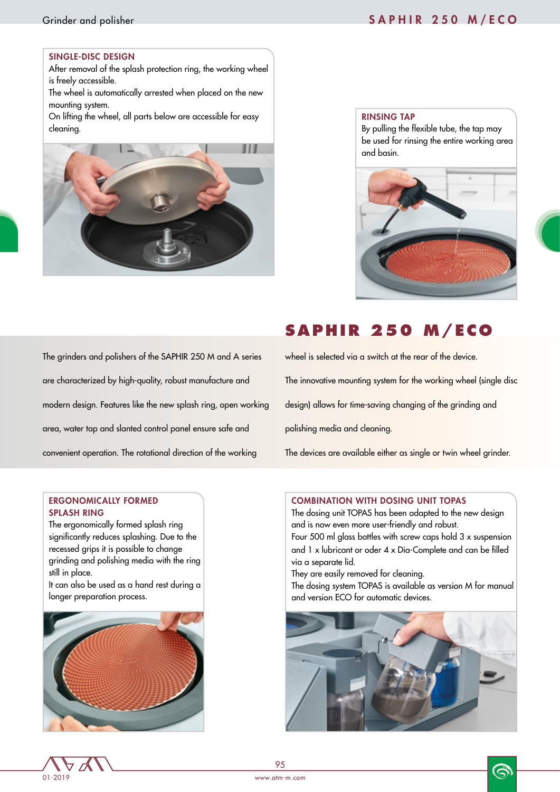# Grinder and polisher SAPHIR 250 M/ECO

### SINGLE-DISC DESIGN

After removal of the splash protection ring, the working wheel is freely accessible.

The wheel is automatically arrested when placed on the new mounting system.

On lifting the wheel, all parts below are accessible for easy cleaning.



### RINSING TAP

By pulling the flexible tube, the tap may be used for rinsing the entire working area and basin.



# **SAPHIR 250 M/ECO**

The grinders and polishers of the SAPHIR 250 M and A series are characterized by high-quality, robust manufacture and modern design. Features like the new splash ring, open working area, water tap and slanted control panel ensure safe and convenient operation. The rotational direction of the working

wheel is selected via a switch at the rear of the device. The innovative mounting system for the working wheel (single disc design) allows for time-saving changing of the grinding and polishing media and cleaning.

The devices are available either as single or twin wheel grinder.

## ERGONOMICALLY FORMED SPLASH RING

The ergonomically formed splash ring significantly reduces splashing. Due to the recessed grips it is possible to change grinding and polishing media with the ring still in place.

It can also be used as a hand rest during a longer preparation process.



## COMBINATION WITH DOSING UNIT TOPAS

The dosing unit TOPAS has been adapted to the new design and is now even more user-friendly and robust. Four 500 ml glass bottles with screw caps hold  $3 \times$  suspension and  $1 \times$  lubricant or oder  $4 \times$  Dia-Complete and can be filled via a separate lid.

They are easily removed for cleaning.

The dosing system TOPAS is available as version M for manual and version ECO for automatic devices.



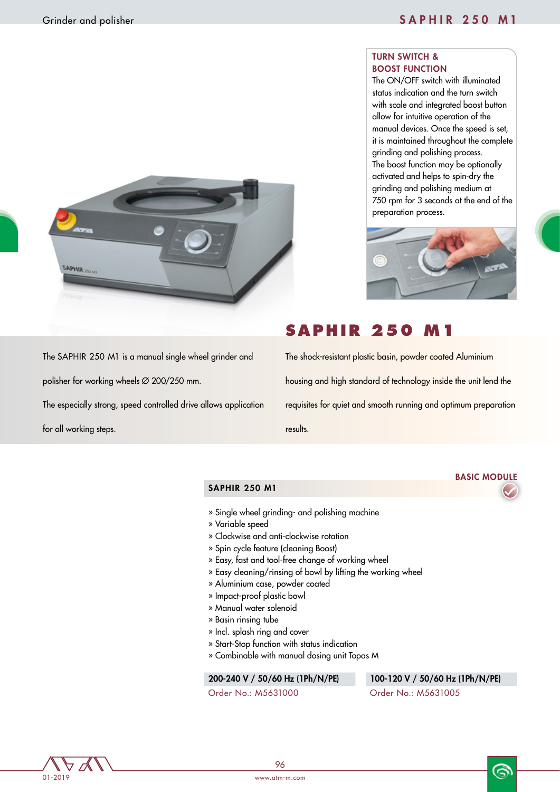# TURN SWITCH & BOOST FUNCTION

The ON/OFF switch with illuminated status indication and the turn switch with scale and integrated boost button allow for intuitive operation of the manual devices. Once the speed is set, it is maintained throughout the complete grinding and polishing process. The boost function may be optionally activated and helps to spin-dry the grinding and polishing medium at 750 rpm for 3 seconds at the end of the preparation process.



# **SAPHIR 250**

The shock-resistant plastic basin, powder coated Aluminium housing and high standard of technology inside the unit lend the requisites for quiet and smooth running and optimum preparation results.

The SAPHIR 250 M1 is a manual single wheel grinder and

The especially strong, speed controlled drive allows application

polisher for working wheels Ø 200/250 mm.

for all working steps.

**SAPHIR 250 M** 

# SAPHIR 250 M1

- » Single wheel grinding- and polishing machine
- » Variable speed
- » Clockwise and anti-clockwise rotation
- » Spin cycle feature (cleaning Boost)
- » Easy, fast and tool-free change of working wheel
- » Easy cleaning/rinsing of bowl by lifting the working wheel
- » Aluminium case, powder coated
- » Impact-proof plastic bowl
- » Manual water solenoid
- » Basin rinsing tube
- » Incl. splash ring and cover
- » Start-Stop function with status indication
- » Combinable with manual dosing unit Topas M

### 200-240 V / 50/60 Hz (1Ph/N/PE) 100-120 V / 50/60 Hz (1Ph/N/PE)

Order No.: M5631000 Order No.: M5631005



෧